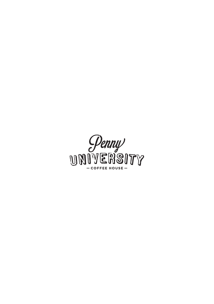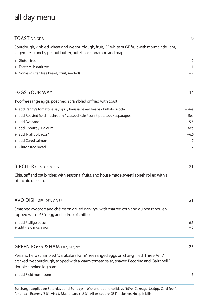# all day menu

| TOAST DF, GF, V                                                                                                                                                                                               | 9              |
|---------------------------------------------------------------------------------------------------------------------------------------------------------------------------------------------------------------|----------------|
| Sourdough, kibbled wheat and rye sourdough, fruit, GF white or GF fruit with marmalade, jam,<br>vegemite, crunchy peanut butter, nutella or cinnamon and maple.                                               |                |
| + Gluten free                                                                                                                                                                                                 | $+2$           |
| + Three Mills dark rye                                                                                                                                                                                        | $+1$           |
| + Nonies gluten free bread; (fruit, seeded)                                                                                                                                                                   | $+2$           |
| EGGS YOUR WAY                                                                                                                                                                                                 | 14             |
| Two free range eggs, poached, scrambled or fried with toast.                                                                                                                                                  |                |
| + add Penny's tomato salsa / spicy harissa baked beans / buffalo ricotta                                                                                                                                      | $+4$ ea        |
| + add Roasted field mushroom / sautéed kale / confit potatoes / asparagus                                                                                                                                     | $+5$ ea        |
| + add Avocado                                                                                                                                                                                                 | $+5.5$         |
| + add Chorizo / Haloumi                                                                                                                                                                                       | $+6$ ea        |
| + add 'Pialligo bacon'                                                                                                                                                                                        | $+6.5$         |
| + add Cured salmon                                                                                                                                                                                            | $+7$           |
| + Gluten free bread                                                                                                                                                                                           | $+2$           |
| BIRCHER GF*, DF*, VE*, V                                                                                                                                                                                      | 21             |
| Chia, teff and oat bircher, with seasonal fruits, and house made sweet labneh rolled with a<br>pistachio dukkah.                                                                                              |                |
| AVO DISH GF*, DF*, V, VE*                                                                                                                                                                                     | 21             |
| Smashed avocado and chèvre on grilled dark rye, with charred corn and quinoa tabouleh,<br>topped with a 63°c egg and a drop of chilli oil.                                                                    |                |
| + add Pialligo bacon<br>+ add Field mushroom                                                                                                                                                                  | $+6.5$<br>$+5$ |
| GREEN EGGS & HAM DF*, GF*, V*                                                                                                                                                                                 | 23             |
| Pea and herb scrambled 'Darabalara Farm' free ranged eggs on char-grilled 'Three Mills'<br>cracked rye sourdough, topped with a warm tomato salsa, shaved Pecorino and 'Balzanelli'<br>double smoked leg ham. |                |
| + add Field mushroom                                                                                                                                                                                          | $+5$           |
|                                                                                                                                                                                                               |                |

Surcharge applies on Saturdays and Sundays (10%) and public holidays (15%). Cakeage \$2.5pp. Card fee for American Express (3%), Visa & Mastercard (1.5%). All prices are GST inclusive. No split bills.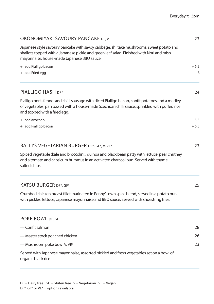| OKONOMIYAKI SAVOURY PANCAKE DF, V                                                                                                                                                                                                 | 23     |
|-----------------------------------------------------------------------------------------------------------------------------------------------------------------------------------------------------------------------------------|--------|
| Japanese style savoury pancake with savoy cabbage, shiitake mushrooms, sweet potato and<br>shallots topped with a Japanese pickle and green leaf salad. Finished with Nori and miso<br>mayonnaise, house-made Japanese BBQ sauce. |        |
| + add Pialligo bacon                                                                                                                                                                                                              | $+6.5$ |
| + add Fried egg                                                                                                                                                                                                                   | $+3$   |
| PIALLIGO HASH DF*                                                                                                                                                                                                                 | 24     |
| Pialligo pork, fennel and chilli sausage with diced Pialligo bacon, confit potatoes and a medley<br>of vegetables, pan tossed with a house-made Szechuan chilli sauce, sprinkled with puffed rice<br>and topped with a fried egg. |        |
| + add avocado                                                                                                                                                                                                                     | $+5.5$ |
| + add Pialligo bacon                                                                                                                                                                                                              | $+6.5$ |
| BALLI'S VEGETARIAN BURGER DF*, GF*, V, VE*                                                                                                                                                                                        | 23     |
| Spiced vegetable (kale and broccolini), quinoa and black bean patty with lettuce, pear chutney<br>and a tomato and capsicum hummus in an activated charcoal bun. Served with thyme<br>salted chips.                               |        |
| KATSU BURGER DF*, GF*                                                                                                                                                                                                             | 25     |
| Crumbed chicken breast fillet marinated in Penny's own spice blend, served in a potato bun<br>with pickles, lettuce, Japanese mayonnaise and BBQ sauce. Served with shoestring fries.                                             |        |
| POKE BOWL DF, GF                                                                                                                                                                                                                  |        |
| — Confit salmon                                                                                                                                                                                                                   | 28     |
| - Master stock poached chicken                                                                                                                                                                                                    | 26     |
| - Mushroom poke bowl V, VE*                                                                                                                                                                                                       | 23     |
| Served with Japanese mayonnaise, assorted pickled and fresh vegetables set on a bowl of<br>organic black rice                                                                                                                     |        |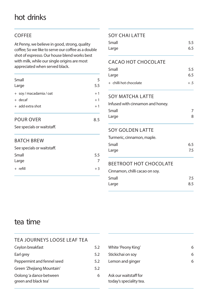# hot drinks

### COFFEE

At Penny, we believe in good, strong, quality coffee; So we like to serve our coffee as a double shot of espresso. Our house blend works best with milk, while our single origins are most appreciated when served black.

| Small<br>Large          | 5<br>5.5 |
|-------------------------|----------|
| + soy / macadamia / oat | $+1$     |
| $+$ decaf               | $+1$     |
| + add extra shot        | $+1$     |
|                         |          |
|                         |          |

### POUR OVER 8.5

See specials or waitstaff.

#### BATCH BREW

| See specials or waitstaff. |      |
|----------------------------|------|
| Small                      | 5.5  |
| Large                      | 7    |
| $+$ refill                 | $+3$ |

### SOY CHALL ATTE

| Small | 5.5 |
|-------|-----|
| Large | 6.5 |

### CACAO HOT CHOCOLATE

| Small                  | 5.5   |
|------------------------|-------|
| Large                  | 6.5   |
| + chilli hot chocolate | $+.5$ |

#### SOY MATCHA LATTE

Infused with cinnamon and honey.

| Small | 7 |
|-------|---|
| Large | 8 |

#### SOY GOLDEN LATTE

| Turmeric, cinnamon, maple. |     |
|----------------------------|-----|
| Small                      | 6.5 |
| Large                      | 7.5 |
|                            |     |

### BEETROOT HOT CHOCOLATE

| Cinnamon, chilli cacao on soy. |     |
|--------------------------------|-----|
| Small                          | 7.5 |
| Large                          | 8.5 |

## tea time

### TEA JOURNEYS LOOSE LEAF TEA

| Ceylon breakfast                                | 5.2 | White 'Peony k                     |
|-------------------------------------------------|-----|------------------------------------|
| Earl grey                                       | 5.2 | Stickichai on so                   |
| Peppermint and fennel seed                      | 5.2 | Lemon and gir                      |
| Green 'Zhejiang Mountain'                       | 5.2 |                                    |
| Oolong 'a dance between<br>green and black tea' | 6   | Ask our waitsta<br>today's special |

| White 'Peony King'      |  |
|-------------------------|--|
| Stickichai on soy       |  |
| Lemon and ginger        |  |
|                         |  |
| Ask our waitstaff for   |  |
| today's speciality tea. |  |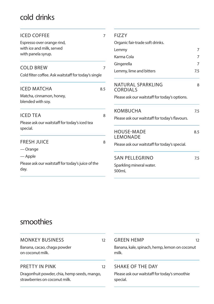# cold drinks

| <b>ICED COFFEE</b>                                                       | 7              | FI77Y                                          |     |
|--------------------------------------------------------------------------|----------------|------------------------------------------------|-----|
| Espresso over orange rind,                                               |                | Organic fair-trade soft drinks.                |     |
| with ice and milk, served                                                |                | Lemmy                                          | 7   |
| with panela syrup.                                                       |                | Karma Cola                                     | 7   |
|                                                                          |                | Gingerella                                     | 7   |
| <b>COLD BREW</b><br>Cold filter coffee. Ask waitstaff for today's single | $\overline{7}$ | Lemmy, lime and bitters                        | 7.5 |
| <b>ICED MATCHA</b>                                                       | 8.5            | NATURAI SPARKIING<br><b>CORDIALS</b>           | 8   |
| Matcha, cinnamon, honey,<br>blended with soy.                            |                | Please ask our waitstaff for today's options.  |     |
|                                                                          |                | <b>KOMBUCHA</b>                                | 7.5 |
| <b>ICED TEA</b><br>Please ask our waitstaff for today's iced tea         | 8              | Please ask our waitstaff for today's flavours. |     |
| special.                                                                 |                | <b>HOUSE-MADE</b><br>LEMONADE                  | 8.5 |
| <b>FRESH JUICE</b><br>— Orange                                           | 8              | Please ask our waitstaff for today's special.  |     |
| — Apple                                                                  |                | <b>SAN PELLEGRINO</b>                          | 7.5 |
| Please ask our waitstaff for today's juice of the<br>day.                |                | Sparkling mineral water.<br>500mL              |     |

## smoothies

| <b>MONKEY BUSINESS</b>                                                        | 12 | <b>GREEN HEMP</b>                                         | 12 |
|-------------------------------------------------------------------------------|----|-----------------------------------------------------------|----|
| Banana, cacao, chaga powder<br>on coconut milk.                               |    | Banana, kale, spinach, hemp, lemon on coconut<br>milk.    |    |
| PRETTY IN PINK                                                                | 12 | SHAKE OF THE DAY                                          |    |
| Dragonfruit powder, chia, hemp seeds, mango,<br>strawberries on coconut milk. |    | Please ask our waitstaff for today's smoothie<br>special. |    |
|                                                                               |    |                                                           |    |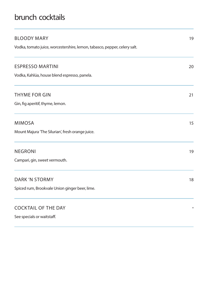# brunch cocktails

| <b>BLOODY MARY</b>                                                        | 19     |
|---------------------------------------------------------------------------|--------|
| Vodka, tomato juice, worcestershire, lemon, tabasco, pepper, celery salt. |        |
| <b>ESPRESSO MARTINI</b>                                                   | 20     |
| Vodka, Kahlúa, house blend espresso, panela.                              |        |
| THYME FOR GIN                                                             | 21     |
| Gin, fig aperitif, thyme, lemon.                                          |        |
| <b>MIMOSA</b>                                                             | 15     |
| Mount Majura 'The Silurian', fresh orange juice.                          |        |
| <b>NEGRONI</b>                                                            | 19     |
| Campari, gin, sweet vermouth.                                             |        |
| <b>DARK 'N STORMY</b>                                                     | 18     |
| Spiced rum, Brookvale Union ginger beer, lime.                            |        |
| <b>COCKTAIL OF THE DAY</b>                                                | $\ast$ |
| See specials or waitstaff.                                                |        |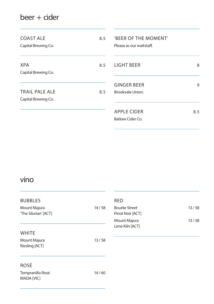# beer + cider

| <b>COAST ALE</b><br>Capital Brewing Co. | 8.5 | <b>BEER OF THE MOMENT'</b><br>Please as our waitstaff. |     |
|-----------------------------------------|-----|--------------------------------------------------------|-----|
| <b>XPA</b><br>Capital Brewing Co.       | 8.5 | LIGHT BEER                                             | 8   |
| TRAIL PALE ALE<br>Capital Brewing Co.   | 8.5 | <b>GINGER BEER</b><br>Brookvale Union.                 | 9   |
|                                         |     | <b>APPLE CIDER</b><br>Batlow Cider Co.                 | 8.5 |

## vino

| <b>BUBBLES</b><br>Mount Majura<br>'The Silurian' [ACT] | 14/58 | RE<br>Βοι<br>Pin<br>Mo |
|--------------------------------------------------------|-------|------------------------|
| <b>WHITE</b><br>Mount Majura<br>Riesling [ACT]         | 13/58 | Lim                    |
| ROSÉ<br>Tempranillo Rosé<br><b>MADA [VIC]</b>          | 14/60 |                        |

| RFD                  |       |
|----------------------|-------|
| <b>Bourke Street</b> | 13/58 |
| Pinot Noir [ACT]     |       |
| Mount Majura         | 13/58 |
| Lime Kiln [ACT]      |       |
|                      |       |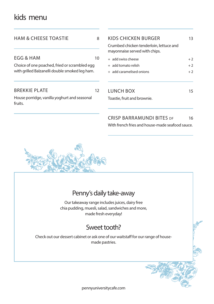## kids menu

| HAM & CHEESE TOASTIE                                    | 8  | KIDS CHICKEN BURGER<br>Crumbed chicken tenderloin, lettuce and<br>mayonnaise served with chips. | 13   |
|---------------------------------------------------------|----|-------------------------------------------------------------------------------------------------|------|
| EGG & HAM                                               | 10 | + add swiss cheese                                                                              | $+2$ |
| Choice of one poached, fried or scrambled egg           |    | + add tomato relish                                                                             | $+2$ |
| with grilled Balzanelli double smoked leg ham.          |    | + add caramelised onions                                                                        | $+2$ |
| <b>BREKKIE PLATE</b>                                    | 12 | LUNCH BOX                                                                                       | 15   |
| House porridge, vanilla yoghurt and seasonal<br>fruits. |    | Toastie, fruit and brownie.                                                                     |      |
|                                                         |    | <b>CRISP BARRAMUNDI BITES DF</b>                                                                | 16   |
|                                                         |    | With french fries and house-made seafood sauce.                                                 |      |



## Penny's daily take-away

Our takeaway range includes juices, dairy free chia pudding, muesli, salad, sandwiches and more, made fresh everyday!

## Sweet tooth?

Check out our dessert cabinet or ask one of our waitstaff for our range of housemade pastries.

pennyuniversitycafe.com